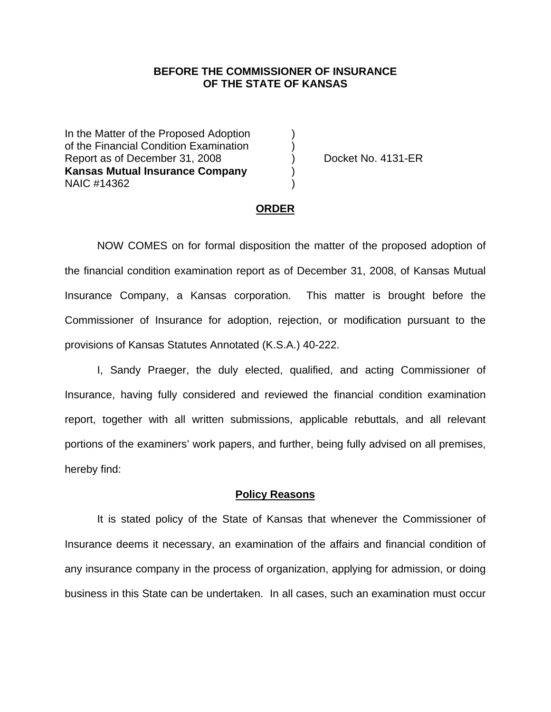## **BEFORE THE COMMISSIONER OF INSURANCE OF THE STATE OF KANSAS**

In the Matter of the Proposed Adoption of the Financial Condition Examination ) Report as of December 31, 2008 (a) Docket No. 4131-ER **Kansas Mutual Insurance Company** ) NAIC #14362 )

#### **ORDER**

 NOW COMES on for formal disposition the matter of the proposed adoption of the financial condition examination report as of December 31, 2008, of Kansas Mutual Insurance Company, a Kansas corporation. This matter is brought before the Commissioner of Insurance for adoption, rejection, or modification pursuant to the provisions of Kansas Statutes Annotated (K.S.A.) 40-222.

 I, Sandy Praeger, the duly elected, qualified, and acting Commissioner of Insurance, having fully considered and reviewed the financial condition examination report, together with all written submissions, applicable rebuttals, and all relevant portions of the examiners' work papers, and further, being fully advised on all premises, hereby find:

### **Policy Reasons**

 It is stated policy of the State of Kansas that whenever the Commissioner of Insurance deems it necessary, an examination of the affairs and financial condition of any insurance company in the process of organization, applying for admission, or doing business in this State can be undertaken. In all cases, such an examination must occur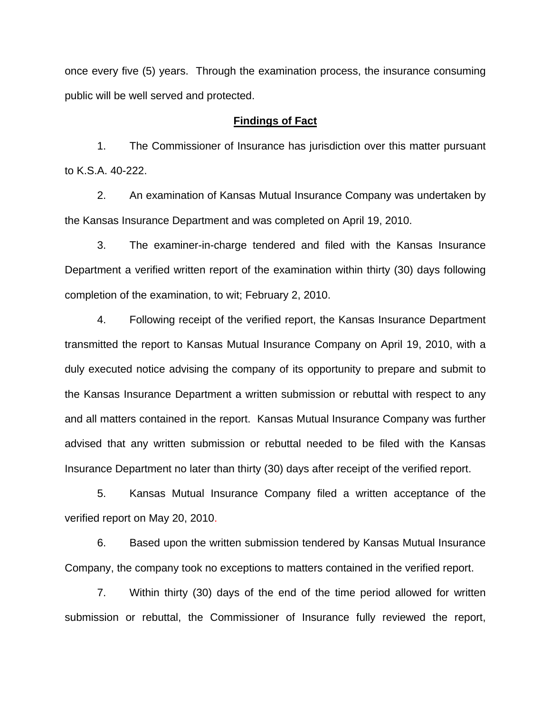once every five (5) years. Through the examination process, the insurance consuming public will be well served and protected.

### **Findings of Fact**

 1. The Commissioner of Insurance has jurisdiction over this matter pursuant to K.S.A. 40-222.

 2. An examination of Kansas Mutual Insurance Company was undertaken by the Kansas Insurance Department and was completed on April 19, 2010.

 3. The examiner-in-charge tendered and filed with the Kansas Insurance Department a verified written report of the examination within thirty (30) days following completion of the examination, to wit; February 2, 2010.

 4. Following receipt of the verified report, the Kansas Insurance Department transmitted the report to Kansas Mutual Insurance Company on April 19, 2010, with a duly executed notice advising the company of its opportunity to prepare and submit to the Kansas Insurance Department a written submission or rebuttal with respect to any and all matters contained in the report. Kansas Mutual Insurance Company was further advised that any written submission or rebuttal needed to be filed with the Kansas Insurance Department no later than thirty (30) days after receipt of the verified report.

 5. Kansas Mutual Insurance Company filed a written acceptance of the verified report on May 20, 2010.

6. Based upon the written submission tendered by Kansas Mutual Insurance Company, the company took no exceptions to matters contained in the verified report.

 7. Within thirty (30) days of the end of the time period allowed for written submission or rebuttal, the Commissioner of Insurance fully reviewed the report,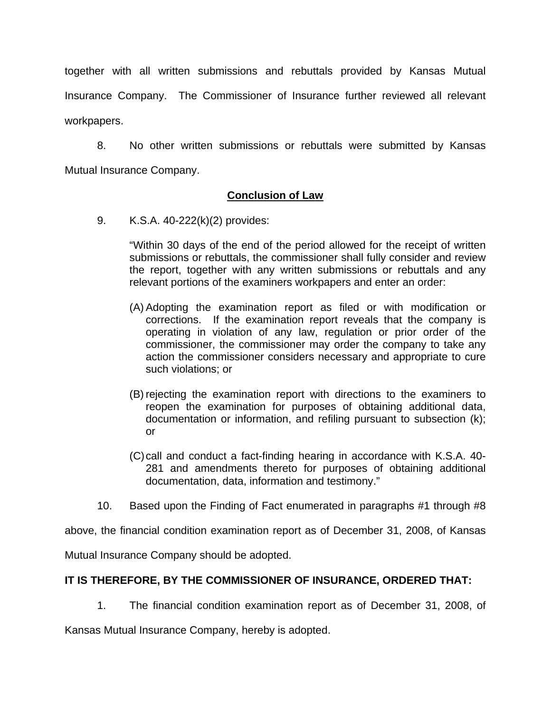together with all written submissions and rebuttals provided by Kansas Mutual Insurance Company. The Commissioner of Insurance further reviewed all relevant workpapers.

 8. No other written submissions or rebuttals were submitted by Kansas Mutual Insurance Company.

## **Conclusion of Law**

9. K.S.A. 40-222(k)(2) provides:

"Within 30 days of the end of the period allowed for the receipt of written submissions or rebuttals, the commissioner shall fully consider and review the report, together with any written submissions or rebuttals and any relevant portions of the examiners workpapers and enter an order:

- (A) Adopting the examination report as filed or with modification or corrections. If the examination report reveals that the company is operating in violation of any law, regulation or prior order of the commissioner, the commissioner may order the company to take any action the commissioner considers necessary and appropriate to cure such violations; or
- (B) rejecting the examination report with directions to the examiners to reopen the examination for purposes of obtaining additional data, documentation or information, and refiling pursuant to subsection (k); or
- (C) call and conduct a fact-finding hearing in accordance with K.S.A. 40- 281 and amendments thereto for purposes of obtaining additional documentation, data, information and testimony."
- 10. Based upon the Finding of Fact enumerated in paragraphs #1 through #8

above, the financial condition examination report as of December 31, 2008, of Kansas

Mutual Insurance Company should be adopted.

# **IT IS THEREFORE, BY THE COMMISSIONER OF INSURANCE, ORDERED THAT:**

1. The financial condition examination report as of December 31, 2008, of

Kansas Mutual Insurance Company, hereby is adopted.